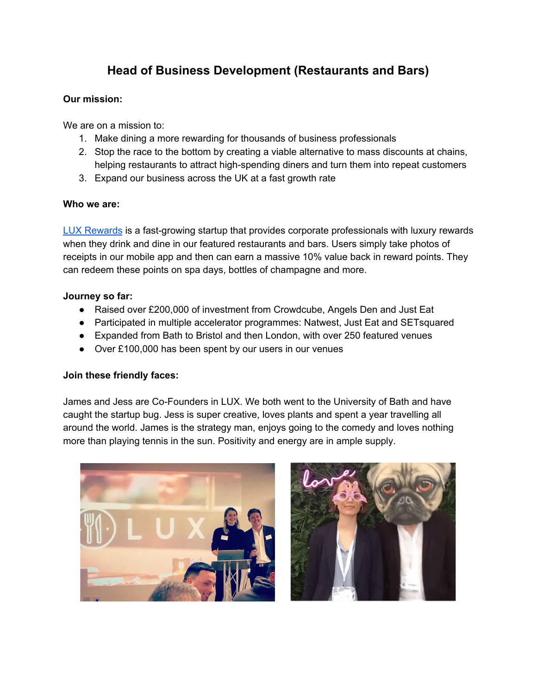# **Head of Business Development (Restaurants and Bars)**

#### **Our mission:**

We are on a mission to:

- 1. Make dining a more rewarding for thousands of business professionals
- 2. Stop the race to the bottom by creating a viable alternative to mass discounts at chains, helping restaurants to attract high-spending diners and turn them into repeat customers
- 3. Expand our business across the UK at a fast growth rate

#### **Who we are:**

LUX [Rewards](http://www.luxrewards.co.uk/) is a fast-growing startup that provides corporate professionals with luxury rewards when they drink and dine in our featured restaurants and bars. Users simply take photos of receipts in our mobile app and then can earn a massive 10% value back in reward points. They can redeem these points on spa days, bottles of champagne and more.

#### **Journey so far:**

- Raised over £200,000 of investment from Crowdcube, Angels Den and Just Eat
- Participated in multiple accelerator programmes: Natwest, Just Eat and SETsquared
- Expanded from Bath to Bristol and then London, with over 250 featured venues
- Over £100,000 has been spent by our users in our venues

## **Join these friendly faces:**

James and Jess are Co-Founders in LUX. We both went to the University of Bath and have caught the startup bug. Jess is super creative, loves plants and spent a year travelling all around the world. James is the strategy man, enjoys going to the comedy and loves nothing more than playing tennis in the sun. Positivity and energy are in ample supply.